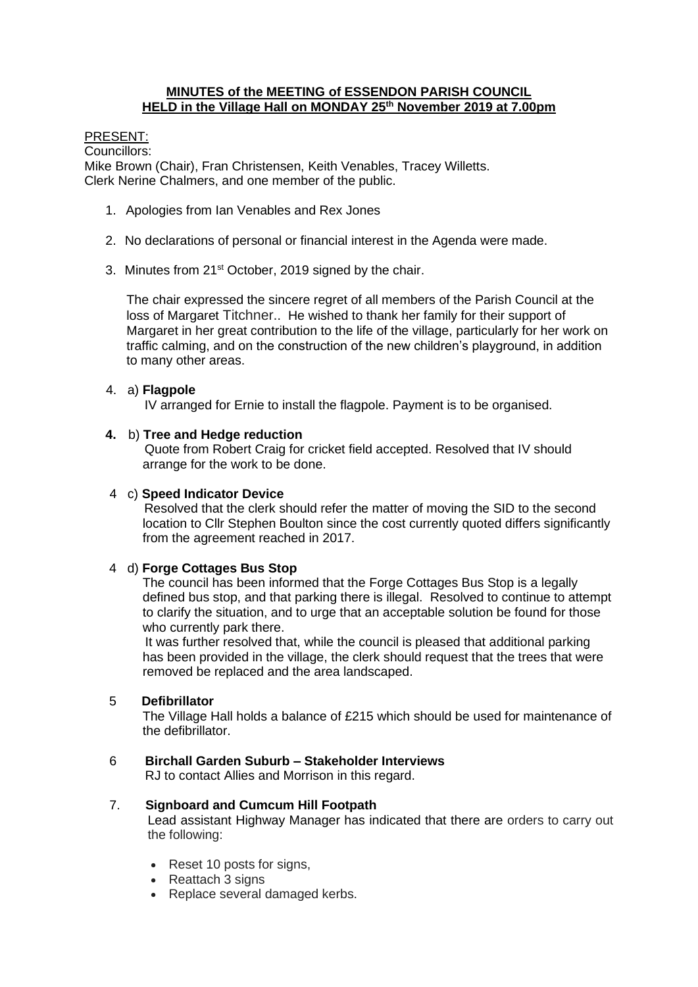## **MINUTES of the MEETING of ESSENDON PARISH COUNCIL HELD in the Village Hall on MONDAY 25th November 2019 at 7.00pm**

## PRESENT:

Councillors:

Mike Brown (Chair), Fran Christensen, Keith Venables, Tracey Willetts. Clerk Nerine Chalmers, and one member of the public.

- 1. Apologies from Ian Venables and Rex Jones
- 2. No declarations of personal or financial interest in the Agenda were made.
- 3. Minutes from 21st October, 2019 signed by the chair.

The chair expressed the sincere regret of all members of the Parish Council at the loss of Margaret Titchner.. He wished to thank her family for their support of Margaret in her great contribution to the life of the village, particularly for her work on traffic calming, and on the construction of the new children's playground, in addition to many other areas.

## 4. a) **Flagpole**

IV arranged for Ernie to install the flagpole. Payment is to be organised.

## **4.** b) **Tree and Hedge reduction**

Quote from Robert Craig for cricket field accepted. Resolved that IV should arrange for the work to be done.

## 4 c) **Speed Indicator Device**

Resolved that the clerk should refer the matter of moving the SID to the second location to Cllr Stephen Boulton since the cost currently quoted differs significantly from the agreement reached in 2017.

## 4 d) **Forge Cottages Bus Stop**

The council has been informed that the Forge Cottages Bus Stop is a legally defined bus stop, and that parking there is illegal. Resolved to continue to attempt to clarify the situation, and to urge that an acceptable solution be found for those who currently park there.

 It was further resolved that, while the council is pleased that additional parking has been provided in the village, the clerk should request that the trees that were removed be replaced and the area landscaped.

## 5 **Defibrillator**

The Village Hall holds a balance of £215 which should be used for maintenance of the defibrillator.

## 6 **Birchall Garden Suburb – Stakeholder Interviews**

RJ to contact Allies and Morrison in this regard.

#### 7. **Signboard and Cumcum Hill Footpath**

Lead assistant Highway Manager has indicated that there are orders to carry out the following:

- Reset 10 posts for signs,
- Reattach 3 signs
- Replace several damaged kerbs.